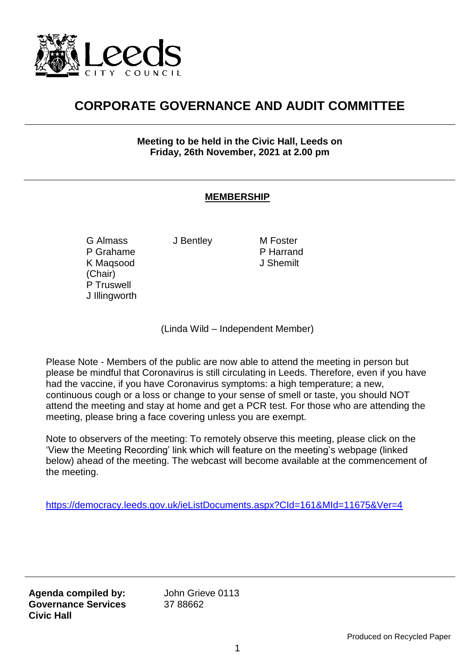

## **CORPORATE GOVERNANCE AND AUDIT COMMITTEE**

**Meeting to be held in the Civic Hall, Leeds on Friday, 26th November, 2021 at 2.00 pm**

## **MEMBERSHIP**

G Almass P Grahame K Maqsood (Chair) P Truswell J Illingworth J Bentley M Foster

P Harrand J Shemilt

(Linda Wild – Independent Member)

Please Note - Members of the public are now able to attend the meeting in person but please be mindful that Coronavirus is still circulating in Leeds. Therefore, even if you have had the vaccine, if you have Coronavirus symptoms: a high temperature; a new, continuous cough or a loss or change to your sense of smell or taste, you should NOT attend the meeting and stay at home and get a PCR test. For those who are attending the meeting, please bring a face covering unless you are exempt.

Note to observers of the meeting: To remotely observe this meeting, please click on the 'View the Meeting Recording' link which will feature on the meeting's webpage (linked below) ahead of the meeting. The webcast will become available at the commencement of the meeting.

<https://democracy.leeds.gov.uk/ieListDocuments.aspx?CId=161&MId=11675&Ver=4>

**Agenda compiled by: Governance Services Civic Hall**

John Grieve 0113 37 88662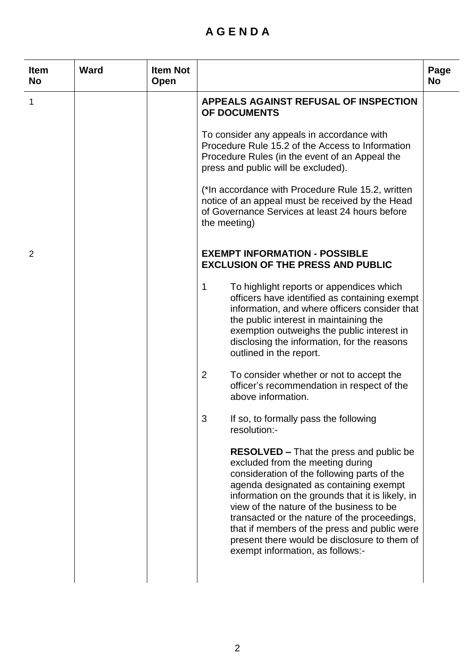## **A G E N D A**

L,

| <b>Item</b><br><b>No</b> | <b>Ward</b> | <b>Item Not</b><br>Open |                                                                                                                                                                                                                                                                                                                                                                                                                                                                 | Page<br><b>No</b> |
|--------------------------|-------------|-------------------------|-----------------------------------------------------------------------------------------------------------------------------------------------------------------------------------------------------------------------------------------------------------------------------------------------------------------------------------------------------------------------------------------------------------------------------------------------------------------|-------------------|
| 1                        |             |                         | APPEALS AGAINST REFUSAL OF INSPECTION<br>OF DOCUMENTS                                                                                                                                                                                                                                                                                                                                                                                                           |                   |
|                          |             |                         | To consider any appeals in accordance with<br>Procedure Rule 15.2 of the Access to Information<br>Procedure Rules (in the event of an Appeal the<br>press and public will be excluded).                                                                                                                                                                                                                                                                         |                   |
|                          |             |                         | (*In accordance with Procedure Rule 15.2, written<br>notice of an appeal must be received by the Head<br>of Governance Services at least 24 hours before<br>the meeting)                                                                                                                                                                                                                                                                                        |                   |
| 2                        |             |                         | <b>EXEMPT INFORMATION - POSSIBLE</b><br><b>EXCLUSION OF THE PRESS AND PUBLIC</b>                                                                                                                                                                                                                                                                                                                                                                                |                   |
|                          |             |                         | $\mathbf 1$<br>To highlight reports or appendices which<br>officers have identified as containing exempt<br>information, and where officers consider that<br>the public interest in maintaining the<br>exemption outweighs the public interest in<br>disclosing the information, for the reasons<br>outlined in the report.                                                                                                                                     |                   |
|                          |             |                         | To consider whether or not to accept the<br>$\mathbf{2}$<br>officer's recommendation in respect of the<br>above information.                                                                                                                                                                                                                                                                                                                                    |                   |
|                          |             |                         | 3<br>If so, to formally pass the following<br>resolution:-                                                                                                                                                                                                                                                                                                                                                                                                      |                   |
|                          |             |                         | <b>RESOLVED</b> – That the press and public be<br>excluded from the meeting during<br>consideration of the following parts of the<br>agenda designated as containing exempt<br>information on the grounds that it is likely, in<br>view of the nature of the business to be<br>transacted or the nature of the proceedings,<br>that if members of the press and public were<br>present there would be disclosure to them of<br>exempt information, as follows:- |                   |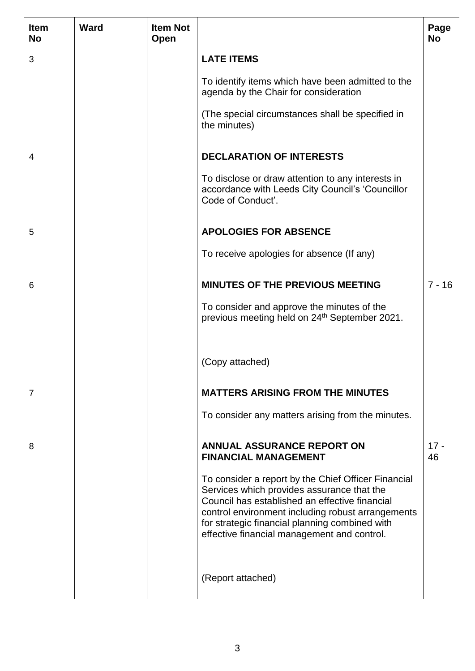| <b>Item</b><br><b>No</b> | <b>Ward</b> | <b>Item Not</b><br>Open |                                                                                                                                                                                                                                                                                                           | Page<br><b>No</b> |
|--------------------------|-------------|-------------------------|-----------------------------------------------------------------------------------------------------------------------------------------------------------------------------------------------------------------------------------------------------------------------------------------------------------|-------------------|
| 3                        |             |                         | <b>LATE ITEMS</b>                                                                                                                                                                                                                                                                                         |                   |
|                          |             |                         | To identify items which have been admitted to the<br>agenda by the Chair for consideration                                                                                                                                                                                                                |                   |
|                          |             |                         | (The special circumstances shall be specified in<br>the minutes)                                                                                                                                                                                                                                          |                   |
| 4                        |             |                         | <b>DECLARATION OF INTERESTS</b>                                                                                                                                                                                                                                                                           |                   |
|                          |             |                         | To disclose or draw attention to any interests in<br>accordance with Leeds City Council's 'Councillor<br>Code of Conduct'.                                                                                                                                                                                |                   |
| 5                        |             |                         | <b>APOLOGIES FOR ABSENCE</b>                                                                                                                                                                                                                                                                              |                   |
|                          |             |                         | To receive apologies for absence (If any)                                                                                                                                                                                                                                                                 |                   |
| 6                        |             |                         | <b>MINUTES OF THE PREVIOUS MEETING</b>                                                                                                                                                                                                                                                                    | $7 - 16$          |
|                          |             |                         | To consider and approve the minutes of the<br>previous meeting held on 24 <sup>th</sup> September 2021.                                                                                                                                                                                                   |                   |
|                          |             |                         | (Copy attached)                                                                                                                                                                                                                                                                                           |                   |
| 7                        |             |                         | <b>MATTERS ARISING FROM THE MINUTES</b>                                                                                                                                                                                                                                                                   |                   |
|                          |             |                         | To consider any matters arising from the minutes.                                                                                                                                                                                                                                                         |                   |
| 8                        |             |                         | <b>ANNUAL ASSURANCE REPORT ON</b><br><b>FINANCIAL MANAGEMENT</b>                                                                                                                                                                                                                                          | $17 -$<br>46      |
|                          |             |                         | To consider a report by the Chief Officer Financial<br>Services which provides assurance that the<br>Council has established an effective financial<br>control environment including robust arrangements<br>for strategic financial planning combined with<br>effective financial management and control. |                   |
|                          |             |                         | (Report attached)                                                                                                                                                                                                                                                                                         |                   |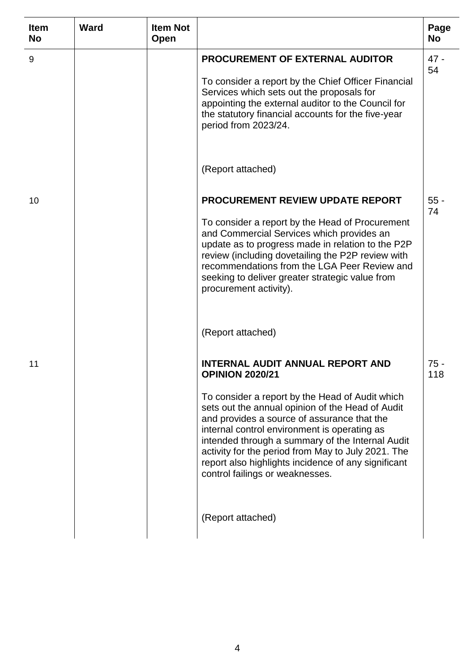| <b>Item</b><br><b>No</b> | <b>Ward</b> | <b>Item Not</b><br>Open |                                                                                                                                                                                                                                                                                                                                                                                                                                                                             | Page<br><b>No</b> |
|--------------------------|-------------|-------------------------|-----------------------------------------------------------------------------------------------------------------------------------------------------------------------------------------------------------------------------------------------------------------------------------------------------------------------------------------------------------------------------------------------------------------------------------------------------------------------------|-------------------|
| 9                        |             |                         | <b>PROCUREMENT OF EXTERNAL AUDITOR</b><br>To consider a report by the Chief Officer Financial<br>Services which sets out the proposals for<br>appointing the external auditor to the Council for<br>the statutory financial accounts for the five-year<br>period from 2023/24.                                                                                                                                                                                              | $47 -$<br>54      |
|                          |             |                         | (Report attached)                                                                                                                                                                                                                                                                                                                                                                                                                                                           |                   |
| 10                       |             |                         | PROCUREMENT REVIEW UPDATE REPORT<br>To consider a report by the Head of Procurement<br>and Commercial Services which provides an<br>update as to progress made in relation to the P2P<br>review (including dovetailing the P2P review with<br>recommendations from the LGA Peer Review and<br>seeking to deliver greater strategic value from<br>procurement activity).                                                                                                     | $55 -$<br>74      |
|                          |             |                         | (Report attached)                                                                                                                                                                                                                                                                                                                                                                                                                                                           |                   |
| 11                       |             |                         | <b>INTERNAL AUDIT ANNUAL REPORT AND</b><br><b>OPINION 2020/21</b><br>To consider a report by the Head of Audit which<br>sets out the annual opinion of the Head of Audit<br>and provides a source of assurance that the<br>internal control environment is operating as<br>intended through a summary of the Internal Audit<br>activity for the period from May to July 2021. The<br>report also highlights incidence of any significant<br>control failings or weaknesses. | $75 -$<br>118     |
|                          |             |                         | (Report attached)                                                                                                                                                                                                                                                                                                                                                                                                                                                           |                   |

L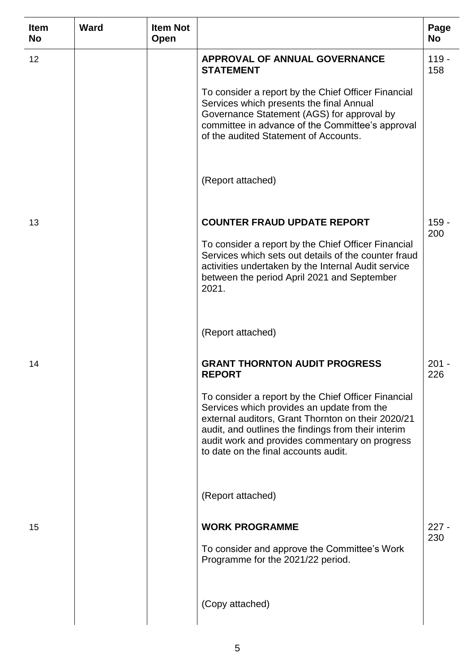| <b>Item</b><br><b>No</b> | <b>Ward</b> | <b>Item Not</b><br>Open |                                                                                                                                                                                                                                                                                                          | Page<br><b>No</b> |
|--------------------------|-------------|-------------------------|----------------------------------------------------------------------------------------------------------------------------------------------------------------------------------------------------------------------------------------------------------------------------------------------------------|-------------------|
| 12                       |             |                         | <b>APPROVAL OF ANNUAL GOVERNANCE</b><br><b>STATEMENT</b>                                                                                                                                                                                                                                                 | $119 -$<br>158    |
|                          |             |                         | To consider a report by the Chief Officer Financial<br>Services which presents the final Annual<br>Governance Statement (AGS) for approval by<br>committee in advance of the Committee's approval<br>of the audited Statement of Accounts.                                                               |                   |
|                          |             |                         | (Report attached)                                                                                                                                                                                                                                                                                        |                   |
| 13                       |             |                         | <b>COUNTER FRAUD UPDATE REPORT</b>                                                                                                                                                                                                                                                                       | $159 -$<br>200    |
|                          |             |                         | To consider a report by the Chief Officer Financial<br>Services which sets out details of the counter fraud<br>activities undertaken by the Internal Audit service<br>between the period April 2021 and September<br>2021.                                                                               |                   |
|                          |             |                         | (Report attached)                                                                                                                                                                                                                                                                                        |                   |
| 14                       |             |                         | <b>GRANT THORNTON AUDIT PROGRESS</b><br><b>REPORT</b>                                                                                                                                                                                                                                                    | $201 -$<br>226    |
|                          |             |                         | To consider a report by the Chief Officer Financial<br>Services which provides an update from the<br>external auditors, Grant Thornton on their 2020/21<br>audit, and outlines the findings from their interim<br>audit work and provides commentary on progress<br>to date on the final accounts audit. |                   |
|                          |             |                         | (Report attached)                                                                                                                                                                                                                                                                                        |                   |
| 15                       |             |                         | <b>WORK PROGRAMME</b>                                                                                                                                                                                                                                                                                    | $227 -$<br>230    |
|                          |             |                         | To consider and approve the Committee's Work<br>Programme for the 2021/22 period.                                                                                                                                                                                                                        |                   |
|                          |             |                         | (Copy attached)                                                                                                                                                                                                                                                                                          |                   |